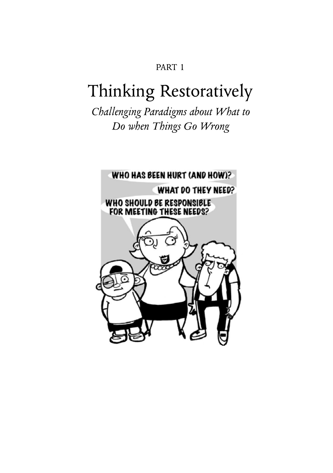## PART 1

# Thinking Restoratively

*Challenging Paradigms about What to Do when Things Go Wrong*

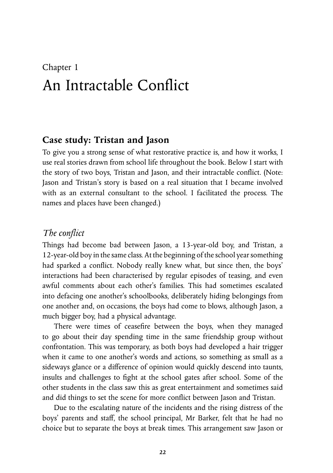# Chapter 1 An Intractable Conflict

### **Case study: Tristan and Jason**

To give you a strong sense of what restorative practice is, and how it works, I use real stories drawn from school life throughout the book. Below I start with the story of two boys, Tristan and Jason, and their intractable conflict. (Note: Jason and Tristan's story is based on a real situation that I became involved with as an external consultant to the school. I facilitated the process. The names and places have been changed.)

## *The conflict*

Things had become bad between Jason, a 13-year-old boy, and Tristan, a 12-year-old boy in the same class. At the beginning of the school year something had sparked a conflict. Nobody really knew what, but since then, the boys' interactions had been characterised by regular episodes of teasing, and even awful comments about each other's families. This had sometimes escalated into defacing one another's schoolbooks, deliberately hiding belongings from one another and, on occasions, the boys had come to blows, although Jason, a much bigger boy, had a physical advantage.

There were times of ceasefire between the boys, when they managed to go about their day spending time in the same friendship group without confrontation. This was temporary, as both boys had developed a hair trigger when it came to one another's words and actions, so something as small as a sideways glance or a difference of opinion would quickly descend into taunts, insults and challenges to fight at the school gates after school. Some of the other students in the class saw this as great entertainment and sometimes said and did things to set the scene for more conflict between Jason and Tristan.

Due to the escalating nature of the incidents and the rising distress of the boys' parents and staff, the school principal, Mr Barker, felt that he had no choice but to separate the boys at break times. This arrangement saw Jason or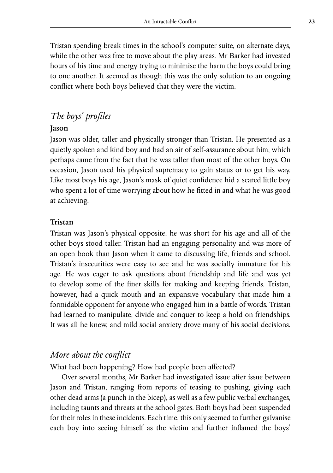Tristan spending break times in the school's computer suite, on alternate days, while the other was free to move about the play areas. Mr Barker had invested hours of his time and energy trying to minimise the harm the boys could bring to one another. It seemed as though this was the only solution to an ongoing conflict where both boys believed that they were the victim.

# *The boys' profiles*

#### **Jason**

Jason was older, taller and physically stronger than Tristan. He presented as a quietly spoken and kind boy and had an air of self-assurance about him, which perhaps came from the fact that he was taller than most of the other boys. On occasion, Jason used his physical supremacy to gain status or to get his way. Like most boys his age, Jason's mask of quiet confidence hid a scared little boy who spent a lot of time worrying about how he fitted in and what he was good at achieving.

#### **Tristan**

Tristan was Jason's physical opposite: he was short for his age and all of the other boys stood taller. Tristan had an engaging personality and was more of an open book than Jason when it came to discussing life, friends and school. Tristan's insecurities were easy to see and he was socially immature for his age. He was eager to ask questions about friendship and life and was yet to develop some of the finer skills for making and keeping friends. Tristan, however, had a quick mouth and an expansive vocabulary that made him a formidable opponent for anyone who engaged him in a battle of words. Tristan had learned to manipulate, divide and conquer to keep a hold on friendships. It was all he knew, and mild social anxiety drove many of his social decisions.

#### *More about the conflict*

What had been happening? How had people been affected?

Over several months, Mr Barker had investigated issue after issue between Jason and Tristan, ranging from reports of teasing to pushing, giving each other dead arms (a punch in the bicep), as well as a few public verbal exchanges, including taunts and threats at the school gates. Both boys had been suspended for their roles in these incidents. Each time, this only seemed to further galvanise each boy into seeing himself as the victim and further inflamed the boys'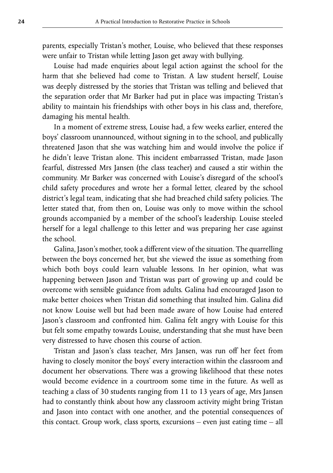parents, especially Tristan's mother, Louise, who believed that these responses were unfair to Tristan while letting Jason get away with bullying.

Louise had made enquiries about legal action against the school for the harm that she believed had come to Tristan. A law student herself, Louise was deeply distressed by the stories that Tristan was telling and believed that the separation order that Mr Barker had put in place was impacting Tristan's ability to maintain his friendships with other boys in his class and, therefore, damaging his mental health.

In a moment of extreme stress, Louise had, a few weeks earlier, entered the boys' classroom unannounced, without signing in to the school, and publically threatened Jason that she was watching him and would involve the police if he didn't leave Tristan alone. This incident embarrassed Tristan, made Jason fearful, distressed Mrs Jansen (the class teacher) and caused a stir within the community. Mr Barker was concerned with Louise's disregard of the school's child safety procedures and wrote her a formal letter, cleared by the school district's legal team, indicating that she had breached child safety policies. The letter stated that, from then on, Louise was only to move within the school grounds accompanied by a member of the school's leadership. Louise steeled herself for a legal challenge to this letter and was preparing her case against the school.

Galina, Jason's mother, took a different view of the situation. The quarrelling between the boys concerned her, but she viewed the issue as something from which both boys could learn valuable lessons. In her opinion, what was happening between Jason and Tristan was part of growing up and could be overcome with sensible guidance from adults. Galina had encouraged Jason to make better choices when Tristan did something that insulted him. Galina did not know Louise well but had been made aware of how Louise had entered Jason's classroom and confronted him. Galina felt angry with Louise for this but felt some empathy towards Louise, understanding that she must have been very distressed to have chosen this course of action.

Tristan and Jason's class teacher, Mrs Jansen, was run off her feet from having to closely monitor the boys' every interaction within the classroom and document her observations. There was a growing likelihood that these notes would become evidence in a courtroom some time in the future. As well as teaching a class of 30 students ranging from 11 to 13 years of age, Mrs Jansen had to constantly think about how any classroom activity might bring Tristan and Jason into contact with one another, and the potential consequences of this contact. Group work, class sports, excursions – even just eating time – all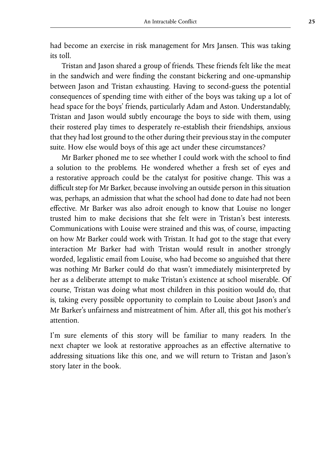had become an exercise in risk management for Mrs Jansen. This was taking its toll.

Tristan and Jason shared a group of friends. These friends felt like the meat in the sandwich and were finding the constant bickering and one-upmanship between Jason and Tristan exhausting. Having to second-guess the potential consequences of spending time with either of the boys was taking up a lot of head space for the boys' friends, particularly Adam and Aston. Understandably, Tristan and Jason would subtly encourage the boys to side with them, using their rostered play times to desperately re-establish their friendships, anxious that they had lost ground to the other during their previous stay in the computer suite. How else would boys of this age act under these circumstances?

Mr Barker phoned me to see whether I could work with the school to find a solution to the problems. He wondered whether a fresh set of eyes and a restorative approach could be the catalyst for positive change. This was a difficult step for Mr Barker, because involving an outside person in this situation was, perhaps, an admission that what the school had done to date had not been effective. Mr Barker was also adroit enough to know that Louise no longer trusted him to make decisions that she felt were in Tristan's best interests. Communications with Louise were strained and this was, of course, impacting on how Mr Barker could work with Tristan. It had got to the stage that every interaction Mr Barker had with Tristan would result in another strongly worded, legalistic email from Louise, who had become so anguished that there was nothing Mr Barker could do that wasn't immediately misinterpreted by her as a deliberate attempt to make Tristan's existence at school miserable. Of course, Tristan was doing what most children in this position would do, that is, taking every possible opportunity to complain to Louise about Jason's and Mr Barker's unfairness and mistreatment of him. After all, this got his mother's attention.

I'm sure elements of this story will be familiar to many readers. In the next chapter we look at restorative approaches as an effective alternative to addressing situations like this one, and we will return to Tristan and Jason's story later in the book.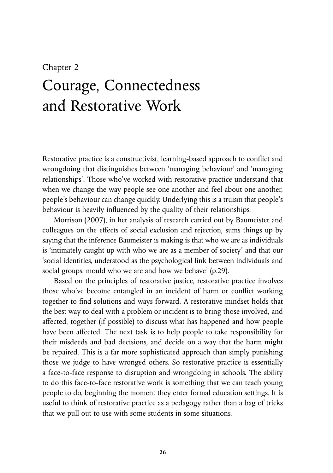# Chapter 2 Courage, Connectedness and Restorative Work

Restorative practice is a constructivist, learning-based approach to conflict and wrongdoing that distinguishes between 'managing behaviour' and 'managing relationships'. Those who've worked with restorative practice understand that when we change the way people see one another and feel about one another, people's behaviour can change quickly. Underlying this is a truism that people's behaviour is heavily influenced by the quality of their relationships.

Morrison (2007), in her analysis of research carried out by Baumeister and colleagues on the effects of social exclusion and rejection, sums things up by saying that the inference Baumeister is making is that who we are as individuals is 'intimately caught up with who we are as a member of society' and that our 'social identities, understood as the psychological link between individuals and social groups, mould who we are and how we behave' (p.29).

Based on the principles of restorative justice, restorative practice involves those who've become entangled in an incident of harm or conflict working together to find solutions and ways forward. A restorative mindset holds that the best way to deal with a problem or incident is to bring those involved, and affected, together (if possible) to discuss what has happened and how people have been affected. The next task is to help people to take responsibility for their misdeeds and bad decisions, and decide on a way that the harm might be repaired. This is a far more sophisticated approach than simply punishing those we judge to have wronged others. So restorative practice is essentially a face-to-face response to disruption and wrongdoing in schools. The ability to do this face-to-face restorative work is something that we can teach young people to do, beginning the moment they enter formal education settings. It is useful to think of restorative practice as a pedagogy rather than a bag of tricks that we pull out to use with some students in some situations.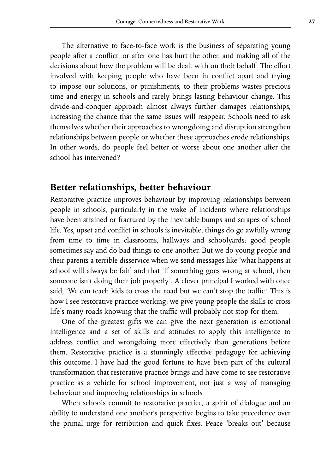The alternative to face-to-face work is the business of separating young people after a conflict, or after one has hurt the other, and making all of the decisions about how the problem will be dealt with on their behalf. The effort involved with keeping people who have been in conflict apart and trying to impose our solutions, or punishments, to their problems wastes precious time and energy in schools and rarely brings lasting behaviour change. This divide-and-conquer approach almost always further damages relationships, increasing the chance that the same issues will reappear. Schools need to ask themselves whether their approaches to wrongdoing and disruption strengthen relationships between people or whether these approaches erode relationships. In other words, do people feel better or worse about one another after the school has intervened?

### **Better relationships, better behaviour**

Restorative practice improves behaviour by improving relationships between people in schools, particularly in the wake of incidents where relationships have been strained or fractured by the inevitable bumps and scrapes of school life. Yes, upset and conflict in schools is inevitable; things do go awfully wrong from time to time in classrooms, hallways and schoolyards; good people sometimes say and do bad things to one another. But we do young people and their parents a terrible disservice when we send messages like 'what happens at school will always be fair' and that 'if something goes wrong at school, then someone isn't doing their job properly'. A clever principal I worked with once said, 'We can teach kids to cross the road but we can't stop the traffic.' This is how I see restorative practice working: we give young people the skills to cross life's many roads knowing that the traffic will probably not stop for them.

One of the greatest gifts we can give the next generation is emotional intelligence and a set of skills and attitudes to apply this intelligence to address conflict and wrongdoing more effectively than generations before them. Restorative practice is a stunningly effective pedagogy for achieving this outcome. I have had the good fortune to have been part of the cultural transformation that restorative practice brings and have come to see restorative practice as a vehicle for school improvement, not just a way of managing behaviour and improving relationships in schools.

When schools commit to restorative practice, a spirit of dialogue and an ability to understand one another's perspective begins to take precedence over the primal urge for retribution and quick fixes. Peace 'breaks out' because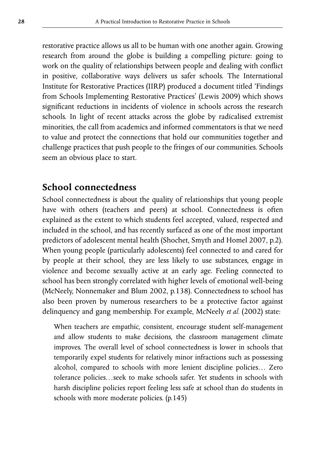restorative practice allows us all to be human with one another again. Growing research from around the globe is building a compelling picture: going to work on the quality of relationships between people and dealing with conflict in positive, collaborative ways delivers us safer schools. The International Institute for Restorative Practices (IIRP) produced a document titled 'Findings from Schools Implementing Restorative Practices' (Lewis 2009) which shows significant reductions in incidents of violence in schools across the research schools. In light of recent attacks across the globe by radicalised extremist minorities, the call from academics and informed commentators is that we need to value and protect the connections that hold our communities together and challenge practices that push people to the fringes of our communities. Schools seem an obvious place to start.

## **School connectedness**

School connectedness is about the quality of relationships that young people have with others (teachers and peers) at school. Connectedness is often explained as the extent to which students feel accepted, valued, respected and included in the school, and has recently surfaced as one of the most important predictors of adolescent mental health (Shochet, Smyth and Homel 2007, p.2). When young people (particularly adolescents) feel connected to and cared for by people at their school, they are less likely to use substances, engage in violence and become sexually active at an early age. Feeling connected to school has been strongly correlated with higher levels of emotional well-being (McNeely, Nonnemaker and Blum 2002, p.138). Connectedness to school has also been proven by numerous researchers to be a protective factor against delinquency and gang membership. For example, McNeely *et al.* (2002) state:

When teachers are empathic, consistent, encourage student self-management and allow students to make decisions, the classroom management climate improves. The overall level of school connectedness is lower in schools that temporarily expel students for relatively minor infractions such as possessing alcohol, compared to schools with more lenient discipline policies… Zero tolerance policies…seek to make schools safer. Yet students in schools with harsh discipline policies report feeling less safe at school than do students in schools with more moderate policies. (p.145)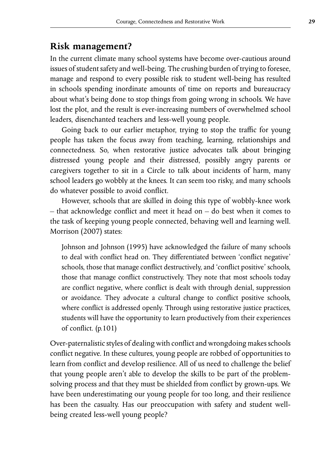## **Risk management?**

In the current climate many school systems have become over-cautious around issues of student safety and well-being. The crushing burden of trying to foresee, manage and respond to every possible risk to student well-being has resulted in schools spending inordinate amounts of time on reports and bureaucracy about what's being done to stop things from going wrong in schools. We have lost the plot, and the result is ever-increasing numbers of overwhelmed school leaders, disenchanted teachers and less-well young people.

Going back to our earlier metaphor, trying to stop the traffic for young people has taken the focus away from teaching, learning, relationships and connectedness. So, when restorative justice advocates talk about bringing distressed young people and their distressed, possibly angry parents or caregivers together to sit in a Circle to talk about incidents of harm, many school leaders go wobbly at the knees. It can seem too risky, and many schools do whatever possible to avoid conflict.

However, schools that are skilled in doing this type of wobbly-knee work – that acknowledge conflict and meet it head on – do best when it comes to the task of keeping young people connected, behaving well and learning well. Morrison (2007) states:

Johnson and Johnson (1995) have acknowledged the failure of many schools to deal with conflict head on. They differentiated between 'conflict negative' schools, those that manage conflict destructively, and 'conflict positive' schools, those that manage conflict constructively. They note that most schools today are conflict negative, where conflict is dealt with through denial, suppression or avoidance. They advocate a cultural change to conflict positive schools, where conflict is addressed openly. Through using restorative justice practices, students will have the opportunity to learn productively from their experiences of conflict. (p.101)

Over-paternalistic styles of dealing with conflict and wrongdoing makes schools conflict negative. In these cultures, young people are robbed of opportunities to learn from conflict and develop resilience. All of us need to challenge the belief that young people aren't able to develop the skills to be part of the problemsolving process and that they must be shielded from conflict by grown-ups. We have been underestimating our young people for too long, and their resilience has been the casualty. Has our preoccupation with safety and student wellbeing created less-well young people?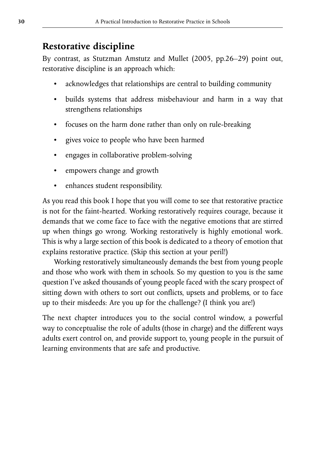# **Restorative discipline**

By contrast, as Stutzman Amstutz and Mullet (2005, pp.26–29) point out, restorative discipline is an approach which:

- acknowledges that relationships are central to building community
- builds systems that address misbehaviour and harm in a way that strengthens relationships
- focuses on the harm done rather than only on rule-breaking
- gives voice to people who have been harmed
- engages in collaborative problem-solving
- empowers change and growth
- enhances student responsibility.

As you read this book I hope that you will come to see that restorative practice is not for the faint-hearted. Working restoratively requires courage, because it demands that we come face to face with the negative emotions that are stirred up when things go wrong. Working restoratively is highly emotional work. This is why a large section of this book is dedicated to a theory of emotion that explains restorative practice. (Skip this section at your peril!)

Working restoratively simultaneously demands the best from young people and those who work with them in schools. So my question to you is the same question I've asked thousands of young people faced with the scary prospect of sitting down with others to sort out conflicts, upsets and problems, or to face up to their misdeeds: Are you up for the challenge? (I think you are!)

The next chapter introduces you to the social control window, a powerful way to conceptualise the role of adults (those in charge) and the different ways adults exert control on, and provide support to, young people in the pursuit of learning environments that are safe and productive.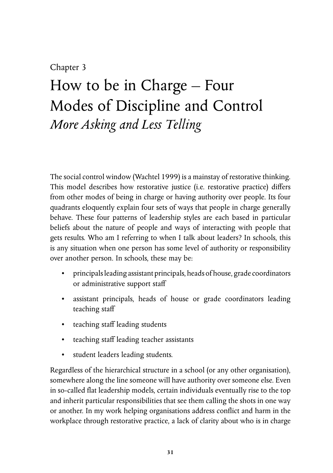# Chapter 3

# How to be in Charge – Four Modes of Discipline and Control *More Asking and Less Telling*

The social control window (Wachtel 1999) is a mainstay of restorative thinking. This model describes how restorative justice (i.e. restorative practice) differs from other modes of being in charge or having authority over people. Its four quadrants eloquently explain four sets of ways that people in charge generally behave. These four patterns of leadership styles are each based in particular beliefs about the nature of people and ways of interacting with people that gets results. Who am I referring to when I talk about leaders? In schools, this is any situation when one person has some level of authority or responsibility over another person. In schools, these may be:

- principals leading assistant principals, heads of house, grade coordinators or administrative support staff
- assistant principals, heads of house or grade coordinators leading teaching staff
- teaching staff leading students
- teaching staff leading teacher assistants
- student leaders leading students.

Regardless of the hierarchical structure in a school (or any other organisation), somewhere along the line someone will have authority over someone else. Even in so-called flat leadership models, certain individuals eventually rise to the top and inherit particular responsibilities that see them calling the shots in one way or another. In my work helping organisations address conflict and harm in the workplace through restorative practice, a lack of clarity about who is in charge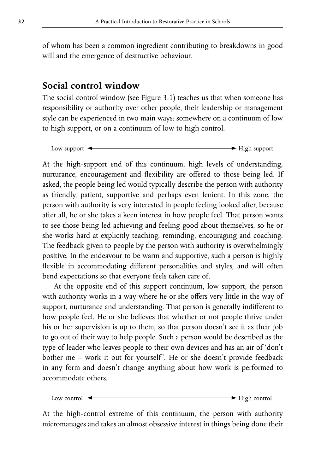of whom has been a common ingredient contributing to breakdowns in good will and the emergence of destructive behaviour.

## **Social control window**

The social control window (see Figure 3.1) teaches us that when someone has responsibility or authority over other people, their leadership or management style can be experienced in two main ways: somewhere on a continuum of low to high support, or on a continuum of low to high control.

Low support  $\leftarrow$  High support

At the high-support end of this continuum, high levels of understanding, nurturance, encouragement and flexibility are offered to those being led. If asked, the people being led would typically describe the person with authority as friendly, patient, supportive and perhaps even lenient. In this zone, the person with authority is very interested in people feeling looked after, because after all, he or she takes a keen interest in how people feel. That person wants to see those being led achieving and feeling good about themselves, so he or she works hard at explicitly teaching, reminding, encouraging and coaching. The feedback given to people by the person with authority is overwhelmingly positive. In the endeavour to be warm and supportive, such a person is highly flexible in accommodating different personalities and styles, and will often bend expectations so that everyone feels taken care of.

At the opposite end of this support continuum, low support, the person with authority works in a way where he or she offers very little in the way of support, nurturance and understanding. That person is generally indifferent to how people feel. He or she believes that whether or not people thrive under his or her supervision is up to them, so that person doesn't see it as their job to go out of their way to help people. Such a person would be described as the type of leader who leaves people to their own devices and has an air of 'don't bother me – work it out for yourself '. He or she doesn't provide feedback in any form and doesn't change anything about how work is performed to accommodate others.

Low control  $\leftarrow$  High control

At the high-control extreme of this continuum, the person with authority micromanages and takes an almost obsessive interest in things being done their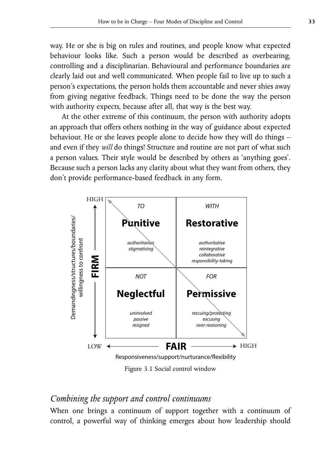way. He or she is big on rules and routines, and people know what expected behaviour looks like. Such a person would be described as overbearing, controlling and a disciplinarian. Behavioural and performance boundaries are clearly laid out and well communicated. When people fail to live up to such a person's expectations, the person holds them accountable and never shies away from giving negative feedback. Things need to be done the way the person with authority expects, because after all, that way is the best way.

At the other extreme of this continuum, the person with authority adopts an approach that offers others nothing in the way of guidance about expected behaviour. He or she leaves people alone to decide how they will do things – and even if they *will* do things! Structure and routine are not part of what such a person values. Their style would be described by others as 'anything goes'. Because such a person lacks any clarity about what they want from others, they don't provide performance-based feedback in any form.



Figure 3.1 Social control window

### *Combining the support and control continuums*

When one brings a continuum of support together with a continuum of control, a powerful way of thinking emerges about how leadership should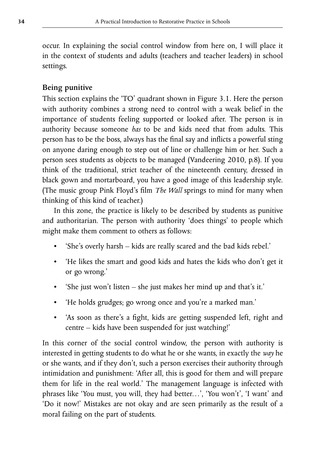occur. In explaining the social control window from here on, I will place it in the context of students and adults (teachers and teacher leaders) in school settings.

### **Being punitive**

This section explains the 'TO' quadrant shown in Figure 3.1. Here the person with authority combines a strong need to control with a weak belief in the importance of students feeling supported or looked after. The person is in authority because someone *has* to be and kids need that from adults. This person has to be the boss, always has the final say and inflicts a powerful sting on anyone daring enough to step out of line or challenge him or her. Such a person sees students as objects to be managed (Vandeering 2010, p.8). If you think of the traditional, strict teacher of the nineteenth century, dressed in black gown and mortarboard, you have a good image of this leadership style. (The music group Pink Floyd's film *The Wall* springs to mind for many when thinking of this kind of teacher.)

In this zone, the practice is likely to be described by students as punitive and authoritarian. The person with authority 'does things' to people which might make them comment to others as follows:

- 'She's overly harsh kids are really scared and the bad kids rebel.'
- 'He likes the smart and good kids and hates the kids who don't get it or go wrong.'
- 'She just won't listen she just makes her mind up and that's it.'
- 'He holds grudges; go wrong once and you're a marked man.'
- 'As soon as there's a fight, kids are getting suspended left, right and centre – kids have been suspended for just watching!'

In this corner of the social control window, the person with authority is interested in getting students to do what he or she wants, in exactly the *way* he or she wants, and if they don't, such a person exercises their authority through intimidation and punishment: 'After all, this is good for them and will prepare them for life in the real world.' The management language is infected with phrases like 'You must, you will, they had better…', 'You won't', 'I want' and 'Do it now!' Mistakes are not okay and are seen primarily as the result of a moral failing on the part of students.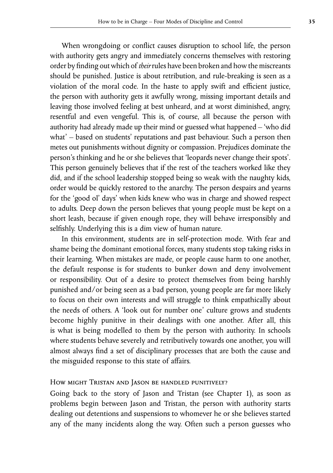When wrongdoing or conflict causes disruption to school life, the person with authority gets angry and immediately concerns themselves with restoring order by finding out which of *their* rules have been broken and how the miscreants should be punished. Justice is about retribution, and rule-breaking is seen as a violation of the moral code. In the haste to apply swift and efficient justice, the person with authority gets it awfully wrong, missing important details and leaving those involved feeling at best unheard, and at worst diminished, angry, resentful and even vengeful. This is, of course, all because the person with authority had already made up their mind or guessed what happened – 'who did what' – based on students' reputations and past behaviour. Such a person then metes out punishments without dignity or compassion. Prejudices dominate the person's thinking and he or she believes that 'leopards never change their spots'. This person genuinely believes that if the rest of the teachers worked like they did, and if the school leadership stopped being so weak with the naughty kids, order would be quickly restored to the anarchy. The person despairs and yearns for the 'good ol' days' when kids knew who was in charge and showed respect to adults. Deep down the person believes that young people must be kept on a short leash, because if given enough rope, they will behave irresponsibly and selfishly. Underlying this is a dim view of human nature.

In this environment, students are in self-protection mode. With fear and shame being the dominant emotional forces, many students stop taking risks in their learning. When mistakes are made, or people cause harm to one another, the default response is for students to bunker down and deny involvement or responsibility. Out of a desire to protect themselves from being harshly punished and/or being seen as a bad person, young people are far more likely to focus on their own interests and will struggle to think empathically about the needs of others. A 'look out for number one' culture grows and students become highly punitive in their dealings with one another. After all, this is what is being modelled to them by the person with authority. In schools where students behave severely and retributively towards one another, you will almost always find a set of disciplinary processes that are both the cause and the misguided response to this state of affairs.

#### How might Tristan and Jason be handled punitively?

Going back to the story of Jason and Tristan (see Chapter 1), as soon as problems begin between Jason and Tristan, the person with authority starts dealing out detentions and suspensions to whomever he or she believes started any of the many incidents along the way. Often such a person guesses who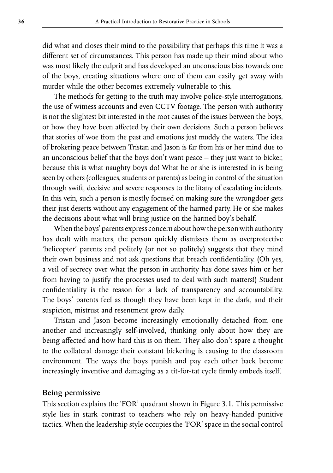did what and closes their mind to the possibility that perhaps this time it was a different set of circumstances. This person has made up their mind about who was most likely the culprit and has developed an unconscious bias towards one of the boys, creating situations where one of them can easily get away with murder while the other becomes extremely vulnerable to this.

The methods for getting to the truth may involve police-style interrogations, the use of witness accounts and even CCTV footage. The person with authority is not the slightest bit interested in the root causes of the issues between the boys, or how they have been affected by their own decisions. Such a person believes that stories of woe from the past and emotions just muddy the waters. The idea of brokering peace between Tristan and Jason is far from his or her mind due to an unconscious belief that the boys don't want peace – they just want to bicker, because this is what naughty boys do! What he or she is interested in is being seen by others (colleagues, students or parents) as being in control of the situation through swift, decisive and severe responses to the litany of escalating incidents. In this vein, such a person is mostly focused on making sure the wrongdoer gets their just deserts without any engagement of the harmed party. He or she makes the decisions about what will bring justice on the harmed boy's behalf.

When the boys' parents express concern about how the person with authority has dealt with matters, the person quickly dismisses them as overprotective 'helicopter' parents and politely (or not so politely) suggests that they mind their own business and not ask questions that breach confidentiality. (Oh yes, a veil of secrecy over what the person in authority has done saves him or her from having to justify the processes used to deal with such matters!) Student confidentiality is the reason for a lack of transparency and accountability. The boys' parents feel as though they have been kept in the dark, and their suspicion, mistrust and resentment grow daily.

Tristan and Jason become increasingly emotionally detached from one another and increasingly self-involved, thinking only about how they are being affected and how hard this is on them. They also don't spare a thought to the collateral damage their constant bickering is causing to the classroom environment. The ways the boys punish and pay each other back become increasingly inventive and damaging as a tit-for-tat cycle firmly embeds itself.

#### **Being permissive**

This section explains the 'FOR' quadrant shown in Figure 3.1. This permissive style lies in stark contrast to teachers who rely on heavy-handed punitive tactics. When the leadership style occupies the 'FOR' space in the social control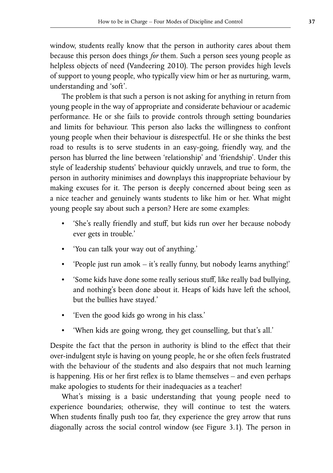window, students really know that the person in authority cares about them because this person does things *for* them. Such a person sees young people as helpless objects of need (Vandeering 2010). The person provides high levels of support to young people, who typically view him or her as nurturing, warm, understanding and 'soft'.

The problem is that such a person is not asking for anything in return from young people in the way of appropriate and considerate behaviour or academic performance. He or she fails to provide controls through setting boundaries and limits for behaviour. This person also lacks the willingness to confront young people when their behaviour is disrespectful. He or she thinks the best road to results is to serve students in an easy-going, friendly way, and the person has blurred the line between 'relationship' and 'friendship'. Under this style of leadership students' behaviour quickly unravels, and true to form, the person in authority minimises and downplays this inappropriate behaviour by making excuses for it. The person is deeply concerned about being seen as a nice teacher and genuinely wants students to like him or her. What might young people say about such a person? Here are some examples:

- 'She's really friendly and stuff, but kids run over her because nobody ever gets in trouble.'
- 'You can talk your way out of anything.'
- 'People just run amok it's really funny, but nobody learns anything!'
- 'Some kids have done some really serious stuff, like really bad bullying, and nothing's been done about it. Heaps of kids have left the school, but the bullies have stayed.'
- 'Even the good kids go wrong in his class.'
- 'When kids are going wrong, they get counselling, but that's all.'

Despite the fact that the person in authority is blind to the effect that their over-indulgent style is having on young people, he or she often feels frustrated with the behaviour of the students and also despairs that not much learning is happening. His or her first reflex is to blame themselves – and even perhaps make apologies to students for their inadequacies as a teacher!

What's missing is a basic understanding that young people need to experience boundaries; otherwise, they will continue to test the waters. When students finally push too far, they experience the grey arrow that runs diagonally across the social control window (see Figure 3.1). The person in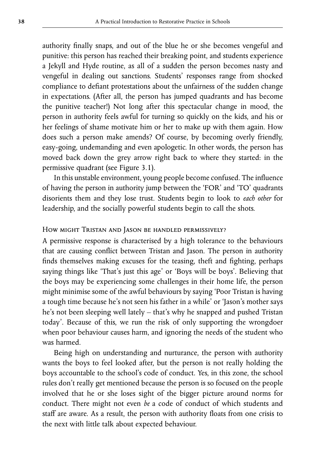authority finally snaps, and out of the blue he or she becomes vengeful and punitive: this person has reached their breaking point, and students experience a Jekyll and Hyde routine, as all of a sudden the person becomes nasty and vengeful in dealing out sanctions. Students' responses range from shocked compliance to defiant protestations about the unfairness of the sudden change in expectations. (After all, the person has jumped quadrants and has become the punitive teacher!) Not long after this spectacular change in mood, the person in authority feels awful for turning so quickly on the kids, and his or her feelings of shame motivate him or her to make up with them again. How does such a person make amends? Of course, by becoming overly friendly, easy-going, undemanding and even apologetic. In other words, the person has moved back down the grey arrow right back to where they started: in the permissive quadrant (see Figure 3.1).

In this unstable environment, young people become confused. The influence of having the person in authority jump between the 'FOR' and 'TO' quadrants disorients them and they lose trust. Students begin to look to *each other* for leadership, and the socially powerful students begin to call the shots.

#### How might Tristan and Jason be handled permissively?

A permissive response is characterised by a high tolerance to the behaviours that are causing conflict between Tristan and Jason. The person in authority finds themselves making excuses for the teasing, theft and fighting, perhaps saying things like 'That's just this age' or 'Boys will be boys'. Believing that the boys may be experiencing some challenges in their home life, the person might minimise some of the awful behaviours by saying 'Poor Tristan is having a tough time because he's not seen his father in a while' or 'Jason's mother says he's not been sleeping well lately – that's why he snapped and pushed Tristan today'. Because of this, we run the risk of only supporting the wrongdoer when poor behaviour causes harm, and ignoring the needs of the student who was harmed.

Being high on understanding and nurturance, the person with authority wants the boys to feel looked after, but the person is not really holding the boys accountable to the school's code of conduct. Yes, in this zone, the school rules don't really get mentioned because the person is so focused on the people involved that he or she loses sight of the bigger picture around norms for conduct. There might not even *be* a code of conduct of which students and staff are aware. As a result, the person with authority floats from one crisis to the next with little talk about expected behaviour.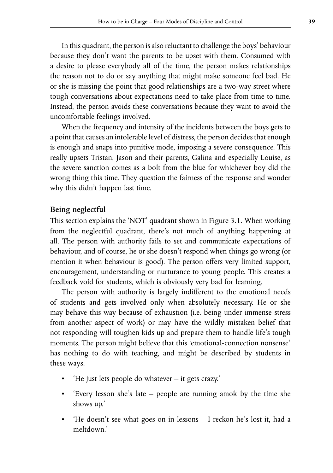In this quadrant, the person is also reluctant to challenge the boys' behaviour because they don't want the parents to be upset with them. Consumed with a desire to please everybody all of the time, the person makes relationships the reason not to do or say anything that might make someone feel bad. He or she is missing the point that good relationships are a two-way street where tough conversations about expectations need to take place from time to time. Instead, the person avoids these conversations because they want to avoid the uncomfortable feelings involved.

When the frequency and intensity of the incidents between the boys gets to a point that causes an intolerable level of distress, the person decides that enough is enough and snaps into punitive mode, imposing a severe consequence. This really upsets Tristan, Jason and their parents, Galina and especially Louise, as the severe sanction comes as a bolt from the blue for whichever boy did the wrong thing this time. They question the fairness of the response and wonder why this didn't happen last time.

#### **Being neglectful**

This section explains the 'NOT' quadrant shown in Figure 3.1. When working from the neglectful quadrant, there's not much of anything happening at all. The person with authority fails to set and communicate expectations of behaviour, and of course, he or she doesn't respond when things go wrong (or mention it when behaviour is good). The person offers very limited support, encouragement, understanding or nurturance to young people. This creates a feedback void for students, which is obviously very bad for learning.

The person with authority is largely indifferent to the emotional needs of students and gets involved only when absolutely necessary. He or she may behave this way because of exhaustion (i.e. being under immense stress from another aspect of work) or may have the wildly mistaken belief that not responding will toughen kids up and prepare them to handle life's tough moments. The person might believe that this 'emotional-connection nonsense' has nothing to do with teaching, and might be described by students in these ways:

- 'He just lets people do whatever it gets crazy.'
- 'Every lesson she's late people are running amok by the time she shows up.'
- 'He doesn't see what goes on in lessons I reckon he's lost it, had a meltdown.'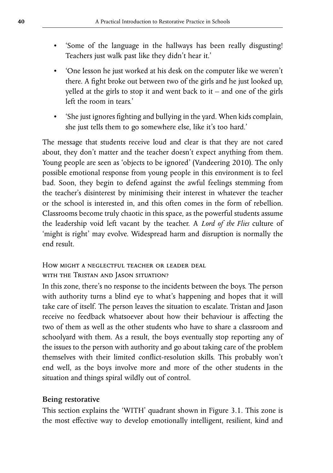- 'Some of the language in the hallways has been really disgusting! Teachers just walk past like they didn't hear it.'
- 'One lesson he just worked at his desk on the computer like we weren't there. A fight broke out between two of the girls and he just looked up, yelled at the girls to stop it and went back to it – and one of the girls left the room in tears.'
- 'She just ignores fighting and bullying in the yard. When kids complain, she just tells them to go somewhere else, like it's too hard.'

The message that students receive loud and clear is that they are not cared about, they don't matter and the teacher doesn't expect anything from them. Young people are seen as 'objects to be ignored' (Vandeering 2010). The only possible emotional response from young people in this environment is to feel bad. Soon, they begin to defend against the awful feelings stemming from the teacher's disinterest by minimising their interest in whatever the teacher or the school is interested in, and this often comes in the form of rebellion. Classrooms become truly chaotic in this space, as the powerful students assume the leadership void left vacant by the teacher. A *Lord of the Flies* culture of 'might is right' may evolve. Widespread harm and disruption is normally the end result.

How might a neglectful teacher or leader deal

with the Tristan and Jason situation?

In this zone, there's no response to the incidents between the boys. The person with authority turns a blind eye to what's happening and hopes that it will take care of itself. The person leaves the situation to escalate. Tristan and Jason receive no feedback whatsoever about how their behaviour is affecting the two of them as well as the other students who have to share a classroom and schoolyard with them. As a result, the boys eventually stop reporting any of the issues to the person with authority and go about taking care of the problem themselves with their limited conflict-resolution skills. This probably won't end well, as the boys involve more and more of the other students in the situation and things spiral wildly out of control.

#### **Being restorative**

This section explains the 'WITH' quadrant shown in Figure 3.1. This zone is the most effective way to develop emotionally intelligent, resilient, kind and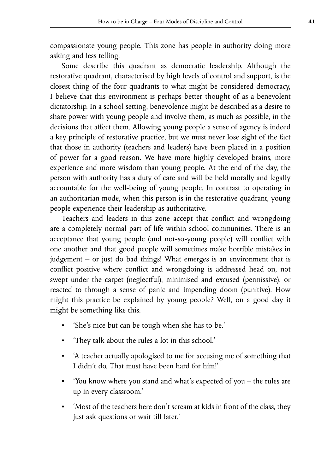compassionate young people. This zone has people in authority doing more asking and less telling.

Some describe this quadrant as democratic leadership. Although the restorative quadrant, characterised by high levels of control and support, is the closest thing of the four quadrants to what might be considered democracy, I believe that this environment is perhaps better thought of as a benevolent dictatorship. In a school setting, benevolence might be described as a desire to share power with young people and involve them, as much as possible, in the decisions that affect them. Allowing young people a sense of agency is indeed a key principle of restorative practice, but we must never lose sight of the fact that those in authority (teachers and leaders) have been placed in a position of power for a good reason. We have more highly developed brains, more experience and more wisdom than young people. At the end of the day, the person with authority has a duty of care and will be held morally and legally accountable for the well-being of young people. In contrast to operating in an authoritarian mode, when this person is in the restorative quadrant, young people experience their leadership as authoritative.

Teachers and leaders in this zone accept that conflict and wrongdoing are a completely normal part of life within school communities. There is an acceptance that young people (and not-so-young people) will conflict with one another and that good people will sometimes make horrible mistakes in judgement – or just do bad things! What emerges is an environment that is conflict positive where conflict and wrongdoing is addressed head on, not swept under the carpet (neglectful), minimised and excused (permissive), or reacted to through a sense of panic and impending doom (punitive). How might this practice be explained by young people? Well, on a good day it might be something like this:

- 'She's nice but can be tough when she has to be.'
- 'They talk about the rules a lot in this school.'
- 'A teacher actually apologised to me for accusing me of something that I didn't do. That must have been hard for him!'
- 'You know where you stand and what's expected of you the rules are up in every classroom.'
- 'Most of the teachers here don't scream at kids in front of the class, they just ask questions or wait till later.'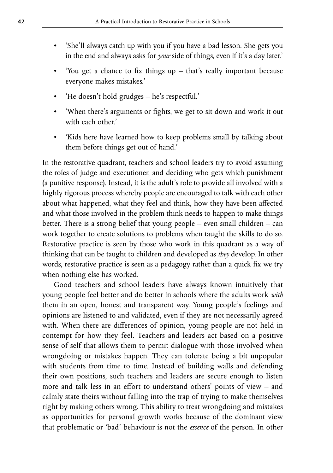- 'She'll always catch up with you if you have a bad lesson. She gets you in the end and always asks for *your* side of things, even if it's a day later.'
- 'You get a chance to fix things up that's really important because everyone makes mistakes.'
- 'He doesn't hold grudges he's respectful.'
- 'When there's arguments or fights, we get to sit down and work it out with each other.'
- 'Kids here have learned how to keep problems small by talking about them before things get out of hand.'

In the restorative quadrant, teachers and school leaders try to avoid assuming the roles of judge and executioner, and deciding who gets which punishment (a punitive response). Instead, it is the adult's role to provide all involved with a highly rigorous process whereby people are encouraged to talk with each other about what happened, what they feel and think, how they have been affected and what those involved in the problem think needs to happen to make things better. There is a strong belief that young people – even small children – can work together to create solutions to problems when taught the skills to do so. Restorative practice is seen by those who work in this quadrant as a way of thinking that can be taught to children and developed as *they* develop. In other words, restorative practice is seen as a pedagogy rather than a quick fix we try when nothing else has worked.

Good teachers and school leaders have always known intuitively that young people feel better and do better in schools where the adults work *with* them in an open, honest and transparent way. Young people's feelings and opinions are listened to and validated, even if they are not necessarily agreed with. When there are differences of opinion, young people are not held in contempt for how they feel. Teachers and leaders act based on a positive sense of self that allows them to permit dialogue with those involved when wrongdoing or mistakes happen. They can tolerate being a bit unpopular with students from time to time. Instead of building walls and defending their own positions, such teachers and leaders are secure enough to listen more and talk less in an effort to understand others' points of view – and calmly state theirs without falling into the trap of trying to make themselves right by making others wrong. This ability to treat wrongdoing and mistakes as opportunities for personal growth works because of the dominant view that problematic or 'bad' behaviour is not the *essence* of the person. In other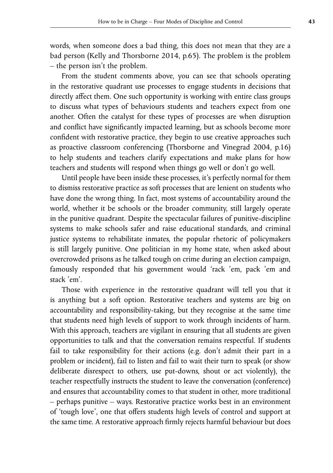words, when someone does a bad thing, this does not mean that they are a bad person (Kelly and Thorsborne 2014, p.65). The problem is the problem – the person isn't the problem.

From the student comments above, you can see that schools operating in the restorative quadrant use processes to engage students in decisions that directly affect them. One such opportunity is working with entire class groups to discuss what types of behaviours students and teachers expect from one another. Often the catalyst for these types of processes are when disruption and conflict have significantly impacted learning, but as schools become more confident with restorative practice, they begin to use creative approaches such as proactive classroom conferencing (Thorsborne and Vinegrad 2004, p.16) to help students and teachers clarify expectations and make plans for how teachers and students will respond when things go well or don't go well.

Until people have been inside these processes, it's perfectly normal for them to dismiss restorative practice as soft processes that are lenient on students who have done the wrong thing. In fact, most systems of accountability around the world, whether it be schools or the broader community, still largely operate in the punitive quadrant. Despite the spectacular failures of punitive-discipline systems to make schools safer and raise educational standards, and criminal justice systems to rehabilitate inmates, the popular rhetoric of policymakers is still largely punitive. One politician in my home state, when asked about overcrowded prisons as he talked tough on crime during an election campaign, famously responded that his government would 'rack 'em, pack 'em and stack 'em'.

Those with experience in the restorative quadrant will tell you that it is anything but a soft option. Restorative teachers and systems are big on accountability and responsibility-taking, but they recognise at the same time that students need high levels of support to work through incidents of harm. With this approach, teachers are vigilant in ensuring that all students are given opportunities to talk and that the conversation remains respectful. If students fail to take responsibility for their actions (e.g. don't admit their part in a problem or incident), fail to listen and fail to wait their turn to speak (or show deliberate disrespect to others, use put-downs, shout or act violently), the teacher respectfully instructs the student to leave the conversation (conference) and ensures that accountability comes to that student in other, more traditional – perhaps punitive – ways. Restorative practice works best in an environment of 'tough love', one that offers students high levels of control and support at the same time. A restorative approach firmly rejects harmful behaviour but does